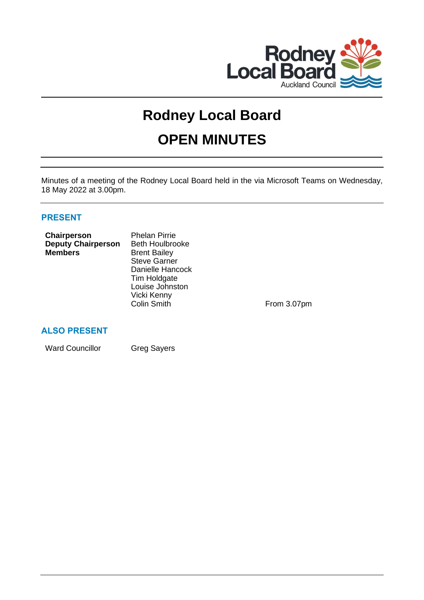

# **Rodney Local Board**

# **OPEN MINUTES**

Minutes of a meeting of the Rodney Local Board held in the via Microsoft Teams on Wednesday, 18 May 2022 at 3.00pm.

# **PRESENT**

| Chairperson               | <b>Phelan Pirrie</b>   |  |
|---------------------------|------------------------|--|
| <b>Deputy Chairperson</b> | <b>Beth Houlbrooke</b> |  |
| <b>Members</b>            | <b>Brent Bailey</b>    |  |
|                           | <b>Steve Garner</b>    |  |
|                           | Danielle Hancock       |  |
|                           | Tim Holdgate           |  |
|                           | Louise Johnston        |  |
|                           | Vicki Kenny            |  |
|                           | <b>Colin Smith</b>     |  |
|                           |                        |  |

From 3.07pm

# **ALSO PRESENT**

Ward Councillor **Greg Sayers**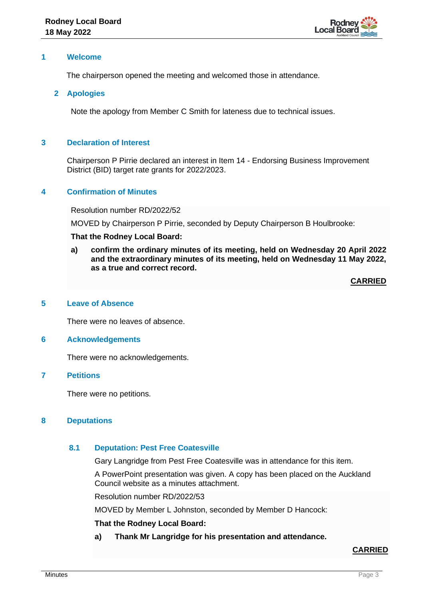

## **1 Welcome**

The chairperson opened the meeting and welcomed those in attendance.

## **2 Apologies**

Note the apology from Member C Smith for lateness due to technical issues.

## **3 Declaration of Interest**

Chairperson P Pirrie declared an interest in Item 14 - Endorsing Business Improvement District (BID) target rate grants for 2022/2023.

## **4 Confirmation of Minutes**

Resolution number RD/2022/52

MOVED by Chairperson P Pirrie, seconded by Deputy Chairperson B Houlbrooke:

#### **That the Rodney Local Board:**

**a) confirm the ordinary minutes of its meeting, held on Wednesday 20 April 2022 and the extraordinary minutes of its meeting, held on Wednesday 11 May 2022, as a true and correct record.**

**CARRIED**

## **5 Leave of Absence**

There were no leaves of absence.

## **6 Acknowledgements**

There were no acknowledgements.

## **7 Petitions**

There were no petitions.

## **8 Deputations**

## **8.1 Deputation: Pest Free Coatesville**

Gary Langridge from Pest Free Coatesville was in attendance for this item.

A PowerPoint presentation was given. A copy has been placed on the Auckland Council website as a minutes attachment.

Resolution number RD/2022/53

MOVED by Member L Johnston, seconded by Member D Hancock:

## **That the Rodney Local Board:**

**a) Thank Mr Langridge for his presentation and attendance.**

# **CARRIED**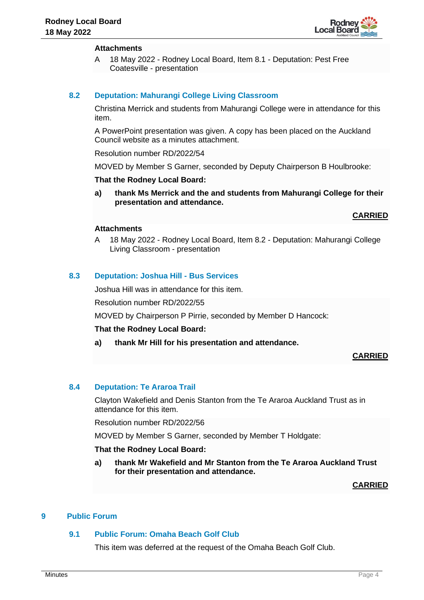

# **Attachments**

A 18 May 2022 - Rodney Local Board, Item 8.1 - Deputation: Pest Free Coatesville - presentation

# **8.2 Deputation: Mahurangi College Living Classroom**

Christina Merrick and students from Mahurangi College were in attendance for this item.

A PowerPoint presentation was given. A copy has been placed on the Auckland Council website as a minutes attachment.

Resolution number RD/2022/54

MOVED by Member S Garner, seconded by Deputy Chairperson B Houlbrooke:

## **That the Rodney Local Board:**

**a) thank Ms Merrick and the and students from Mahurangi College for their presentation and attendance.**

**CARRIED**

## **Attachments**

A 18 May 2022 - Rodney Local Board, Item 8.2 - Deputation: Mahurangi College Living Classroom - presentation

# **8.3 Deputation: Joshua Hill - Bus Services**

Joshua Hill was in attendance for this item.

Resolution number RD/2022/55

MOVED by Chairperson P Pirrie, seconded by Member D Hancock:

## **That the Rodney Local Board:**

**a) thank Mr Hill for his presentation and attendance.**

## **CARRIED**

## **8.4 Deputation: Te Araroa Trail**

Clayton Wakefield and Denis Stanton from the Te Araroa Auckland Trust as in attendance for this item.

Resolution number RD/2022/56

MOVED by Member S Garner, seconded by Member T Holdgate:

## **That the Rodney Local Board:**

**a) thank Mr Wakefield and Mr Stanton from the Te Araroa Auckland Trust for their presentation and attendance.**

## **CARRIED**

# **9 Public Forum**

## **9.1 Public Forum: Omaha Beach Golf Club**

This item was deferred at the request of the Omaha Beach Golf Club.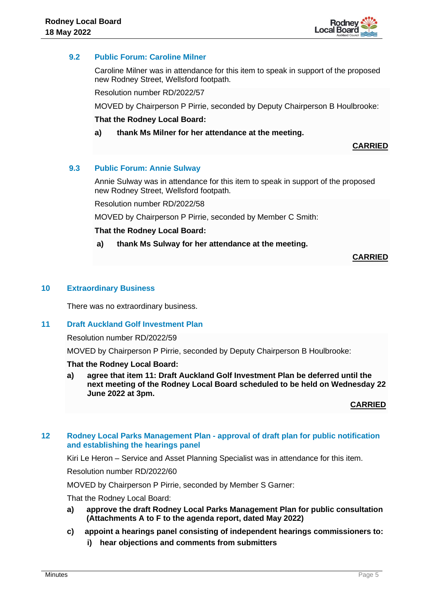

# **9.2 Public Forum: Caroline Milner**

Caroline Milner was in attendance for this item to speak in support of the proposed new Rodney Street, Wellsford footpath.

Resolution number RD/2022/57

MOVED by Chairperson P Pirrie, seconded by Deputy Chairperson B Houlbrooke:

## **That the Rodney Local Board:**

**a) thank Ms Milner for her attendance at the meeting.**

**CARRIED**

## **9.3 Public Forum: Annie Sulway**

Annie Sulway was in attendance for this item to speak in support of the proposed new Rodney Street, Wellsford footpath.

Resolution number RD/2022/58

MOVED by Chairperson P Pirrie, seconded by Member C Smith:

## **That the Rodney Local Board:**

## **a) thank Ms Sulway for her attendance at the meeting.**

**CARRIED**

## **10 Extraordinary Business**

There was no extraordinary business.

## **11 Draft Auckland Golf Investment Plan**

Resolution number RD/2022/59

MOVED by Chairperson P Pirrie, seconded by Deputy Chairperson B Houlbrooke:

## **That the Rodney Local Board:**

**a) agree that item 11: Draft Auckland Golf Investment Plan be deferred until the next meeting of the Rodney Local Board scheduled to be held on Wednesday 22 June 2022 at 3pm.**

**CARRIED**

## **12 Rodney Local Parks Management Plan - approval of draft plan for public notification and establishing the hearings panel**

Kiri Le Heron – Service and Asset Planning Specialist was in attendance for this item.

Resolution number RD/2022/60

MOVED by Chairperson P Pirrie, seconded by Member S Garner:

That the Rodney Local Board:

**a) approve the draft Rodney Local Parks Management Plan for public consultation (Attachments A to F to the agenda report, dated May 2022)**

## **c) appoint a hearings panel consisting of independent hearings commissioners to:**

**i) hear objections and comments from submitters**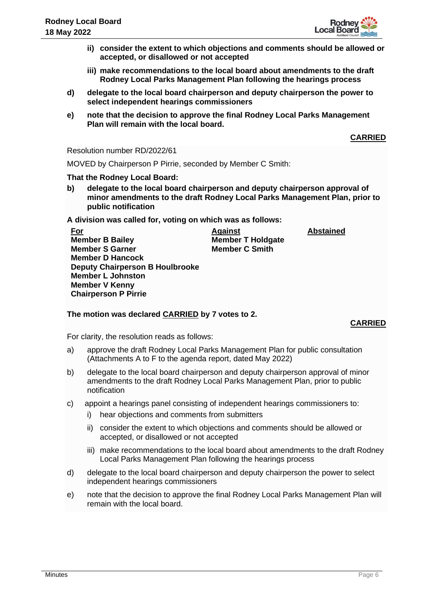

- **ii) consider the extent to which objections and comments should be allowed or accepted, or disallowed or not accepted**
- **iii) make recommendations to the local board about amendments to the draft Rodney Local Parks Management Plan following the hearings process**
- **d) delegate to the local board chairperson and deputy chairperson the power to select independent hearings commissioners**
- **e) note that the decision to approve the final Rodney Local Parks Management Plan will remain with the local board.**

**CARRIED**

Resolution number RD/2022/61

MOVED by Chairperson P Pirrie, seconded by Member C Smith:

## **That the Rodney Local Board:**

**b) delegate to the local board chairperson and deputy chairperson approval of minor amendments to the draft Rodney Local Parks Management Plan, prior to public notification**

**A division was called for, voting on which was as follows:**

| <u>For</u>                             | <b>Against</b>           |
|----------------------------------------|--------------------------|
| <b>Member B Bailey</b>                 | <b>Member T Holdgate</b> |
| <b>Member S Garner</b>                 | <b>Member C Smith</b>    |
| <b>Member D Hancock</b>                |                          |
| <b>Deputy Chairperson B Houlbrooke</b> |                          |
| <b>Member L Johnston</b>               |                          |
| <b>Member V Kenny</b>                  |                          |
| <b>Chairperson P Pirrie</b>            |                          |

# **The motion was declared CARRIED by 7 votes to 2.**

# **CARRIED**

**Abstained**

For clarity, the resolution reads as follows:

- a) approve the draft Rodney Local Parks Management Plan for public consultation (Attachments A to F to the agenda report, dated May 2022)
- b) delegate to the local board chairperson and deputy chairperson approval of minor amendments to the draft Rodney Local Parks Management Plan, prior to public notification
- c) appoint a hearings panel consisting of independent hearings commissioners to:
	- i) hear objections and comments from submitters
	- ii) consider the extent to which objections and comments should be allowed or accepted, or disallowed or not accepted
	- iii) make recommendations to the local board about amendments to the draft Rodney Local Parks Management Plan following the hearings process
- d) delegate to the local board chairperson and deputy chairperson the power to select independent hearings commissioners
- e) note that the decision to approve the final Rodney Local Parks Management Plan will remain with the local board.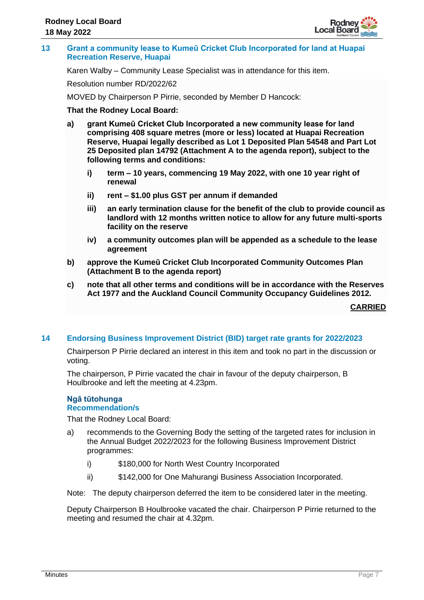

## **13 Grant a community lease to Kumeū Cricket Club Incorporated for land at Huapai Recreation Reserve, Huapai**

Karen Walby – Community Lease Specialist was in attendance for this item.

Resolution number RD/2022/62

MOVED by Chairperson P Pirrie, seconded by Member D Hancock:

## **That the Rodney Local Board:**

- **a) grant Kumeū Cricket Club Incorporated a new community lease for land comprising 408 square metres (more or less) located at Huapai Recreation Reserve, Huapai legally described as Lot 1 Deposited Plan 54548 and Part Lot 25 Deposited plan 14792 (Attachment A to the agenda report), subject to the following terms and conditions:**
	- **i) term – 10 years, commencing 19 May 2022, with one 10 year right of renewal**
	- **ii) rent – \$1.00 plus GST per annum if demanded**
	- **iii) an early termination clause for the benefit of the club to provide council as landlord with 12 months written notice to allow for any future multi-sports facility on the reserve**
	- **iv) a community outcomes plan will be appended as a schedule to the lease agreement**
- **b) approve the Kumeū Cricket Club Incorporated Community Outcomes Plan (Attachment B to the agenda report)**
- **c) note that all other terms and conditions will be in accordance with the Reserves Act 1977 and the Auckland Council Community Occupancy Guidelines 2012.**

**CARRIED**

## **14 Endorsing Business Improvement District (BID) target rate grants for 2022/2023**

Chairperson P Pirrie declared an interest in this item and took no part in the discussion or voting.

The chairperson, P Pirrie vacated the chair in favour of the deputy chairperson, B Houlbrooke and left the meeting at 4.23pm.

#### **Ngā tūtohunga Recommendation/s**

That the Rodney Local Board:

- a) recommends to the Governing Body the setting of the targeted rates for inclusion in the Annual Budget 2022/2023 for the following Business Improvement District programmes:
	- i) \$180,000 for North West Country Incorporated
	- ii) \$142,000 for One Mahurangi Business Association Incorporated.

Note: The deputy chairperson deferred the item to be considered later in the meeting.

Deputy Chairperson B Houlbrooke vacated the chair. Chairperson P Pirrie returned to the meeting and resumed the chair at 4.32pm.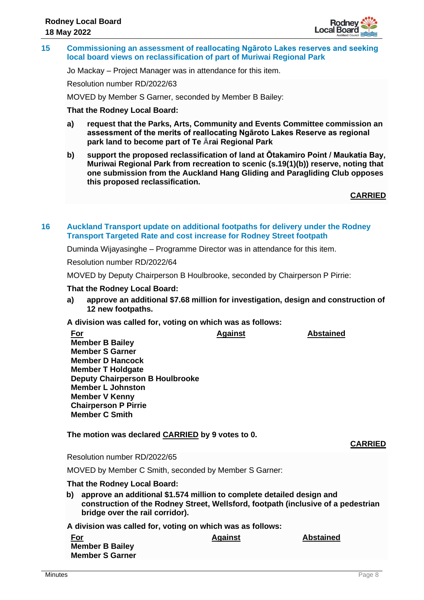

**15 Commissioning an assessment of reallocating Ngāroto Lakes reserves and seeking local board views on reclassification of part of Muriwai Regional Park**

Jo Mackay – Project Manager was in attendance for this item.

Resolution number RD/2022/63

MOVED by Member S Garner, seconded by Member B Bailey:

**That the Rodney Local Board:**

- **a) request that the Parks, Arts, Community and Events Committee commission an assessment of the merits of reallocating Ngāroto Lakes Reserve as regional park land to become part of Te Ārai Regional Park**
- **b) support the proposed reclassification of land at Ōtakamiro Point / Maukatia Bay, Muriwai Regional Park from recreation to scenic (s.19(1)(b)) reserve, noting that one submission from the Auckland Hang Gliding and Paragliding Club opposes this proposed reclassification.**

**CARRIED**

## **16 Auckland Transport update on additional footpaths for delivery under the Rodney Transport Targeted Rate and cost increase for Rodney Street footpath**

Duminda Wijayasinghe – Programme Director was in attendance for this item.

Resolution number RD/2022/64

MOVED by Deputy Chairperson B Houlbrooke, seconded by Chairperson P Pirrie:

#### **That the Rodney Local Board:**

**a) approve an additional \$7.68 million for investigation, design and construction of 12 new footpaths.**

## **A division was called for, voting on which was as follows:**

| <u>For</u>                             | <b>Against</b> | <b>Abstained</b> |
|----------------------------------------|----------------|------------------|
| <b>Member B Bailey</b>                 |                |                  |
| <b>Member S Garner</b>                 |                |                  |
| <b>Member D Hancock</b>                |                |                  |
| <b>Member T Holdgate</b>               |                |                  |
| <b>Deputy Chairperson B Houlbrooke</b> |                |                  |
| <b>Member L Johnston</b>               |                |                  |
| <b>Member V Kenny</b>                  |                |                  |
| <b>Chairperson P Pirrie</b>            |                |                  |
| <b>Member C Smith</b>                  |                |                  |
|                                        |                |                  |
|                                        |                |                  |

## **The motion was declared CARRIED by 9 votes to 0.**

Resolution number RD/2022/65

MOVED by Member C Smith, seconded by Member S Garner:

#### **That the Rodney Local Board:**

**b) approve an additional \$1.574 million to complete detailed design and construction of the Rodney Street, Wellsford, footpath (inclusive of a pedestrian bridge over the rail corridor).**

**A division was called for, voting on which was as follows:**

| <u>For</u>             | <b>Against</b> | <b>Abstained</b> |
|------------------------|----------------|------------------|
| <b>Member B Bailey</b> |                |                  |
| <b>Member S Garner</b> |                |                  |

**CARRIED**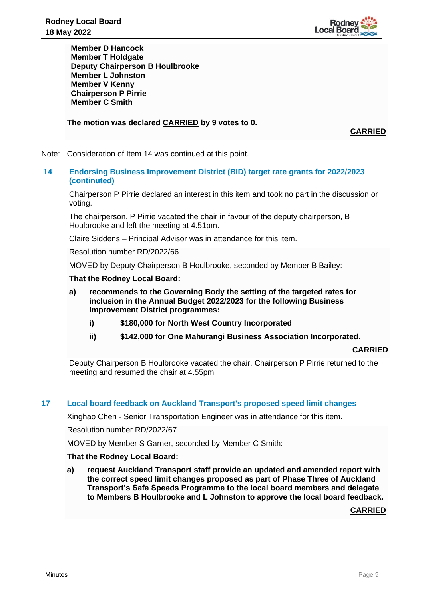

**Member D Hancock Member T Holdgate Deputy Chairperson B Houlbrooke Member L Johnston Member V Kenny Chairperson P Pirrie Member C Smith**

**The motion was declared CARRIED by 9 votes to 0.**

**CARRIED**

Note: Consideration of Item 14 was continued at this point.

# **14 Endorsing Business Improvement District (BID) target rate grants for 2022/2023 (continuted)**

Chairperson P Pirrie declared an interest in this item and took no part in the discussion or voting.

The chairperson, P Pirrie vacated the chair in favour of the deputy chairperson, B Houlbrooke and left the meeting at 4.51pm.

Claire Siddens – Principal Advisor was in attendance for this item.

Resolution number RD/2022/66

MOVED by Deputy Chairperson B Houlbrooke, seconded by Member B Bailey:

## **That the Rodney Local Board:**

- **a) recommends to the Governing Body the setting of the targeted rates for inclusion in the Annual Budget 2022/2023 for the following Business Improvement District programmes:**
	- **i) \$180,000 for North West Country Incorporated**
	- **ii) \$142,000 for One Mahurangi Business Association Incorporated.**

#### **CARRIED**

Deputy Chairperson B Houlbrooke vacated the chair. Chairperson P Pirrie returned to the meeting and resumed the chair at 4.55pm

## **17 Local board feedback on Auckland Transport's proposed speed limit changes**

Xinghao Chen - Senior Transportation Engineer was in attendance for this item.

Resolution number RD/2022/67

MOVED by Member S Garner, seconded by Member C Smith:

## **That the Rodney Local Board:**

**a) request Auckland Transport staff provide an updated and amended report with the correct speed limit changes proposed as part of Phase Three of Auckland Transport's Safe Speeds Programme to the local board members and delegate to Members B Houlbrooke and L Johnston to approve the local board feedback.**

## **CARRIED**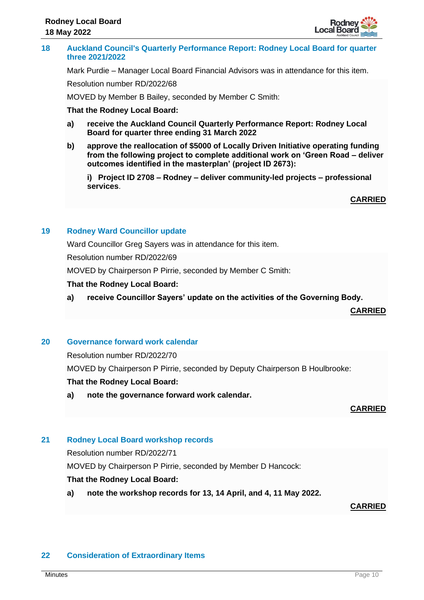

## **18 Auckland Council's Quarterly Performance Report: Rodney Local Board for quarter three 2021/2022**

Mark Purdie – Manager Local Board Financial Advisors was in attendance for this item.

Resolution number RD/2022/68

MOVED by Member B Bailey, seconded by Member C Smith:

## **That the Rodney Local Board:**

- **a) receive the Auckland Council Quarterly Performance Report: Rodney Local Board for quarter three ending 31 March 2022**
- **b) approve the reallocation of \$5000 of Locally Driven Initiative operating funding from the following project to complete additional work on 'Green Road – deliver outcomes identified in the masterplan' (project ID 2673):**

**i) Project ID 2708 – Rodney – deliver community-led projects – professional services**.

**CARRIED**

## **19 Rodney Ward Councillor update**

Ward Councillor Greg Sayers was in attendance for this item.

Resolution number RD/2022/69

MOVED by Chairperson P Pirrie, seconded by Member C Smith:

#### **That the Rodney Local Board:**

**a) receive Councillor Sayers' update on the activities of the Governing Body.**

**CARRIED**

## **20 Governance forward work calendar**

Resolution number RD/2022/70

MOVED by Chairperson P Pirrie, seconded by Deputy Chairperson B Houlbrooke:

## **That the Rodney Local Board:**

**a) note the governance forward work calendar.**

**CARRIED**

#### **21 Rodney Local Board workshop records**

Resolution number RD/2022/71

MOVED by Chairperson P Pirrie, seconded by Member D Hancock:

## **That the Rodney Local Board:**

**a) note the workshop records for 13, 14 April, and 4, 11 May 2022.**

**CARRIED**

## **22 Consideration of Extraordinary Items**